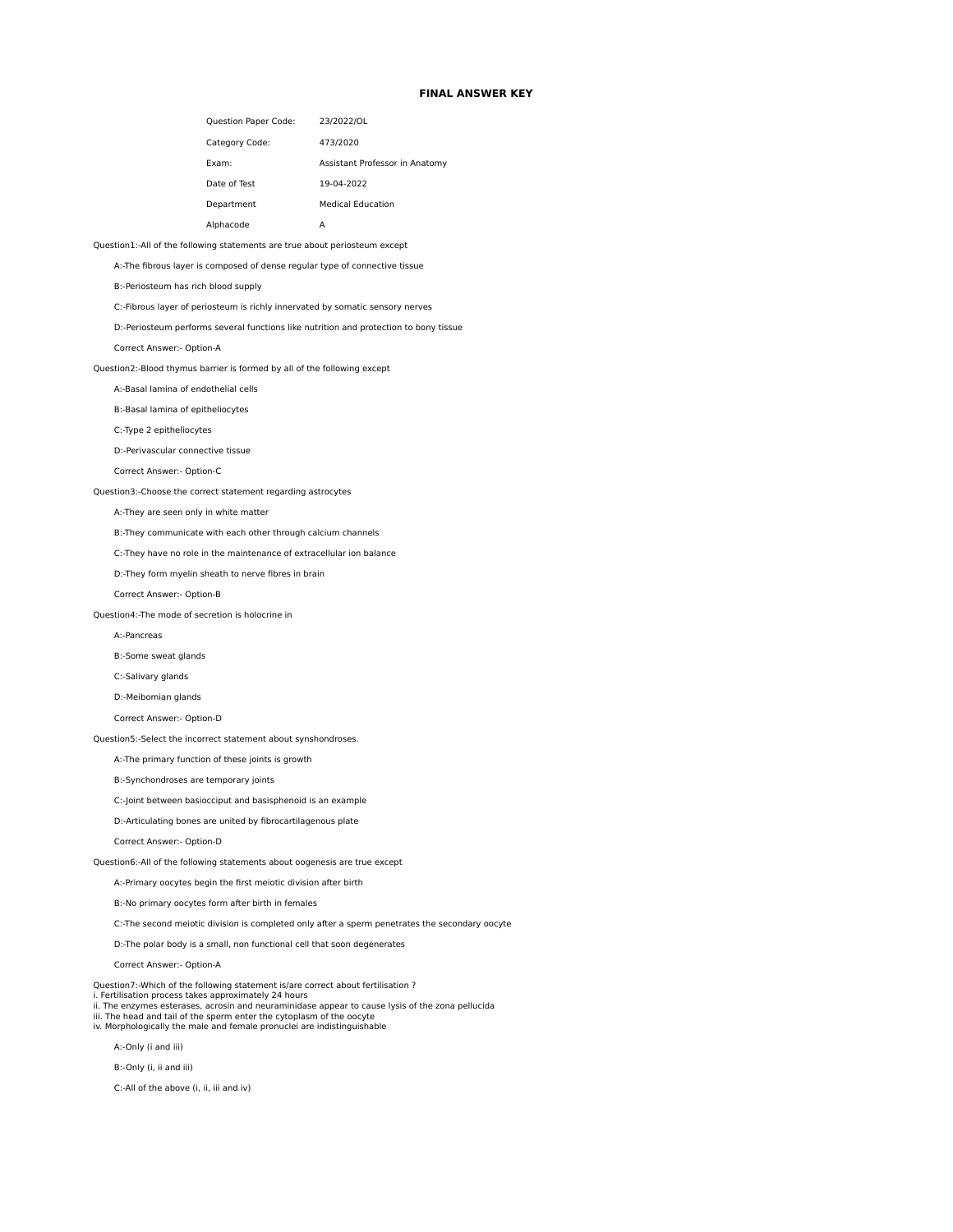## **FINAL ANSWER KEY**

| <b>Question Paper Code:</b> | 23/2022/OL                     |
|-----------------------------|--------------------------------|
| Category Code:              | 473/2020                       |
| Fxam:                       | Assistant Professor in Anatomy |
| Date of Test                | 19-04-2022                     |
| Department                  | <b>Medical Education</b>       |
| Alphacode                   | д                              |

## Question1:-All of the following statements are true about periosteum except

A:-The fibrous layer is composed of dense regular type of connective tissue

B:-Periosteum has rich blood supply

C:-Fibrous layer of periosteum is richly innervated by somatic sensory nerves

D:-Periosteum performs several functions like nutrition and protection to bony tissue

Correct Answer:- Option-A

Question2:-Blood thymus barrier is formed by all of the following except

A:-Basal lamina of endothelial cells

B:-Basal lamina of epitheliocytes

C:-Type 2 epitheliocytes

D:-Perivascular connective tissue

Correct Answer:- Option-C

Question3:-Choose the correct statement regarding astrocytes

A:-They are seen only in white matter

B:-They communicate with each other through calcium channels

C:-They have no role in the maintenance of extracellular ion balance

D:-They form myelin sheath to nerve fibres in brain

Correct Answer:- Option-B

Question4:-The mode of secretion is holocrine in

A:-Pancreas

B:-Some sweat glands

C:-Salivary glands

D:-Meibomian glands

Correct Answer:- Option-D

Question5:-Select the incorrect statement about synshondroses.

A:-The primary function of these joints is growth

B:-Synchondroses are temporary joints

C:-Joint between basiocciput and basisphenoid is an example

D:-Articulating bones are united by fibrocartilagenous plate

Correct Answer:- Option-D

Question6:-All of the following statements about oogenesis are true except

A:-Primary oocytes begin the first meiotic division after birth

B:-No primary oocytes form after birth in females

C:-The second meiotic division is completed only after a sperm penetrates the secondary oocyte

D:-The polar body is a small, non functional cell that soon degenerates

Correct Answer:- Option-A

Question7:-Which of the following statement is/are correct about fertilisation ?

i. Fertilisation process takes approximately 24 hours ii. The enzymes esterases, acrosin and neuraminidase appear to cause lysis of the zona pellucida

iii. The head and tail of the sperm enter the cytoplasm of the oocyte iv. Morphologically the male and female pronuclei are indistinguishable

A:-Only (i and iii)

B:-Only (i, ii and iii)

C:-All of the above (i, ii, iii and iv)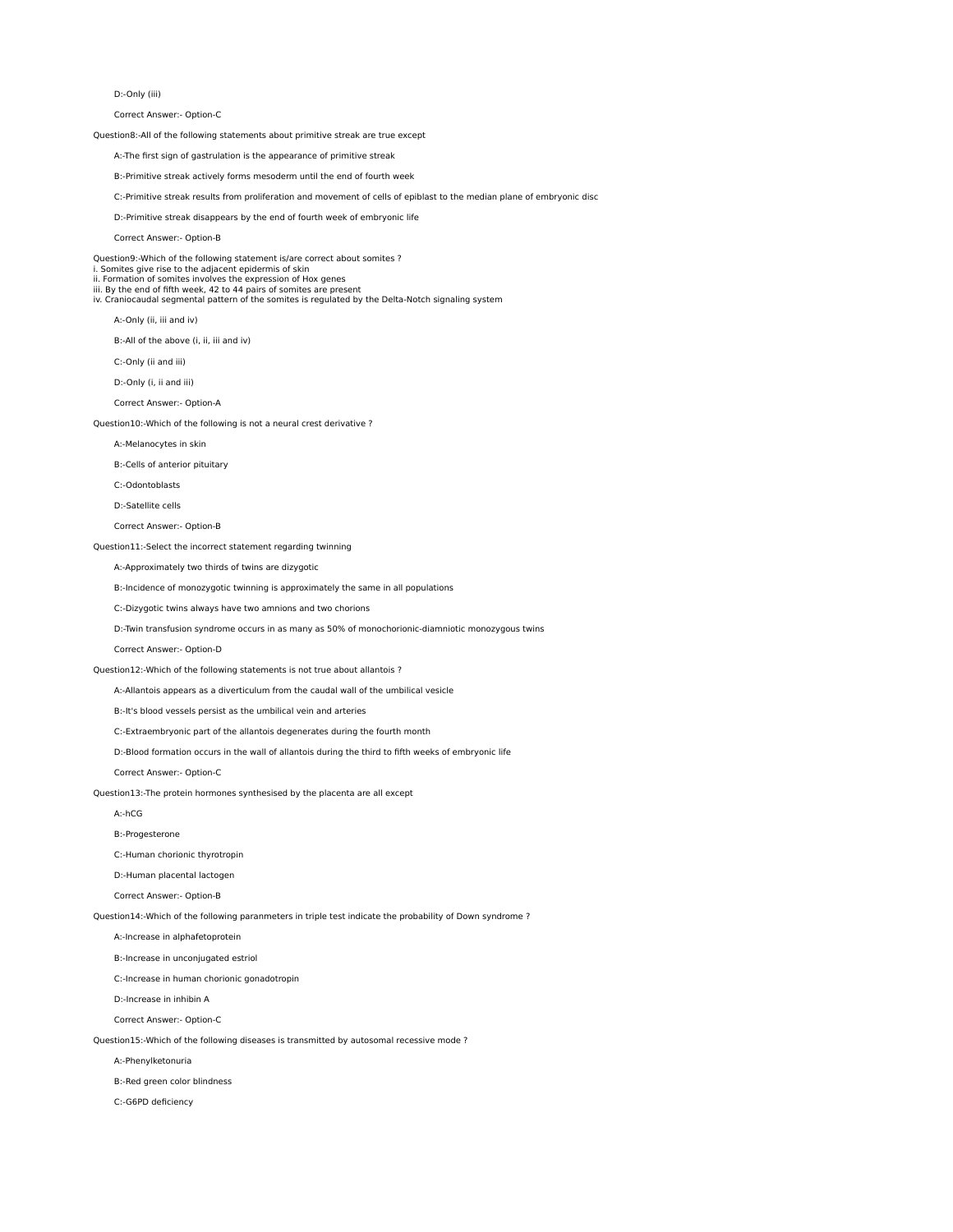D:-Only (iii)

Correct Answer:- Option-C

Question8:-All of the following statements about primitive streak are true except

- A:-The first sign of gastrulation is the appearance of primitive streak
- B:-Primitive streak actively forms mesoderm until the end of fourth week
- C:-Primitive streak results from proliferation and movement of cells of epiblast to the median plane of embryonic disc
- D:-Primitive streak disappears by the end of fourth week of embryonic life
- Correct Answer:- Option-B

Question9:-Which of the following statement is/are correct about somites ? i. Somites give rise to the adjacent epidermis of skin ii. Formation of somites involves the expression of Hox genes iii. By the end of fifth week, 42 to 44 pairs of somites are present iv. Craniocaudal segmental pattern of the somites is regulated by the Delta-Notch signaling system

A:-Only (ii, iii and iv)

B:-All of the above (i, ii, iii and iv)

- C:-Only (ii and iii)
- D:-Only (i, ii and iii)
- Correct Answer:- Option-A

Question10:-Which of the following is not a neural crest derivative ?

- A:-Melanocytes in skin
- B:-Cells of anterior pituitary
- C:-Odontoblasts
- D:-Satellite cells
- Correct Answer:- Option-B

Question11:-Select the incorrect statement regarding twinning

A:-Approximately two thirds of twins are dizygotic

B:-Incidence of monozygotic twinning is approximately the same in all populations

C:-Dizygotic twins always have two amnions and two chorions

D:-Twin transfusion syndrome occurs in as many as 50% of monochorionic-diamniotic monozygous twins

Correct Answer:- Option-D

Question12:-Which of the following statements is not true about allantois ?

- A:-Allantois appears as a diverticulum from the caudal wall of the umbilical vesicle
- B:-It's blood vessels persist as the umbilical vein and arteries
- C:-Extraembryonic part of the allantois degenerates during the fourth month
- D:-Blood formation occurs in the wall of allantois during the third to fifth weeks of embryonic life

Correct Answer:- Option-C

- Question13:-The protein hormones synthesised by the placenta are all except
	- A:-hCG
	- B:-Progesterone
	- C:-Human chorionic thyrotropin
	- D:-Human placental lactogen
	- Correct Answer:- Option-B

Question14:-Which of the following paranmeters in triple test indicate the probability of Down syndrome ?

- A:-Increase in alphafetoprotein
- B:-Increase in unconjugated estriol
- C:-Increase in human chorionic gonadotropin
- D:-Increase in inhibin A
- Correct Answer:- Option-C
- Question15:-Which of the following diseases is transmitted by autosomal recessive mode ?
	- A:-Phenylketonuria
	- B:-Red green color blindness
	- C:-G6PD deficiency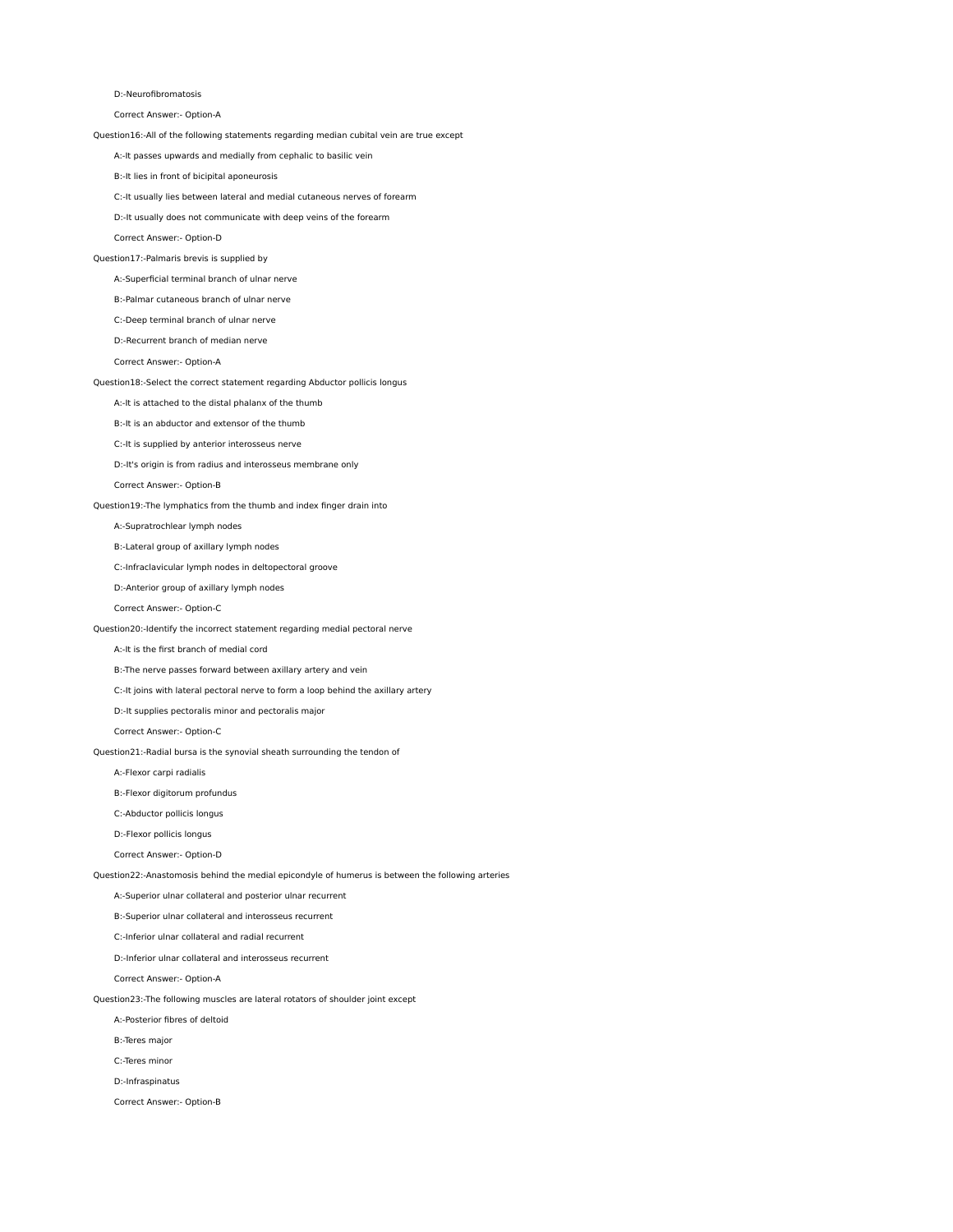D:-Neurofibromatosis

Correct Answer:- Option-A

Question16:-All of the following statements regarding median cubital vein are true except

A:-It passes upwards and medially from cephalic to basilic vein

B:-It lies in front of bicipital aponeurosis

C:-It usually lies between lateral and medial cutaneous nerves of forearm

D:-It usually does not communicate with deep veins of the forearm

Correct Answer:- Option-D

# Question17:-Palmaris brevis is supplied by

A:-Superficial terminal branch of ulnar nerve

B:-Palmar cutaneous branch of ulnar nerve

C:-Deep terminal branch of ulnar nerve

D:-Recurrent branch of median nerve

Correct Answer:- Option-A

## Question18:-Select the correct statement regarding Abductor pollicis longus

A:-It is attached to the distal phalanx of the thumb

B:-It is an abductor and extensor of the thumb

C:-It is supplied by anterior interosseus nerve

D:-It's origin is from radius and interosseus membrane only

Correct Answer:- Option-B

Question19:-The lymphatics from the thumb and index finger drain into

### A:-Supratrochlear lymph nodes

B:-Lateral group of axillary lymph nodes

C:-Infraclavicular lymph nodes in deltopectoral groove

D:-Anterior group of axillary lymph nodes

Correct Answer:- Option-C

## Question20:-Identify the incorrect statement regarding medial pectoral nerve

A:-It is the first branch of medial cord

B:-The nerve passes forward between axillary artery and vein

C:-It joins with lateral pectoral nerve to form a loop behind the axillary artery

D:-It supplies pectoralis minor and pectoralis major

Correct Answer:- Option-C

Question21:-Radial bursa is the synovial sheath surrounding the tendon of

A:-Flexor carpi radialis

B:-Flexor digitorum profundus

C:-Abductor pollicis longus

D:-Flexor pollicis longus

Correct Answer:- Option-D

Question22:-Anastomosis behind the medial epicondyle of humerus is between the following arteries

A:-Superior ulnar collateral and posterior ulnar recurrent

B:-Superior ulnar collateral and interosseus recurrent

C:-Inferior ulnar collateral and radial recurrent

D:-Inferior ulnar collateral and interosseus recurrent

Correct Answer:- Option-A

Question23:-The following muscles are lateral rotators of shoulder joint except

A:-Posterior fibres of deltoid

B:-Teres major

C:-Teres minor

D:-Infraspinatus

Correct Answer:- Option-B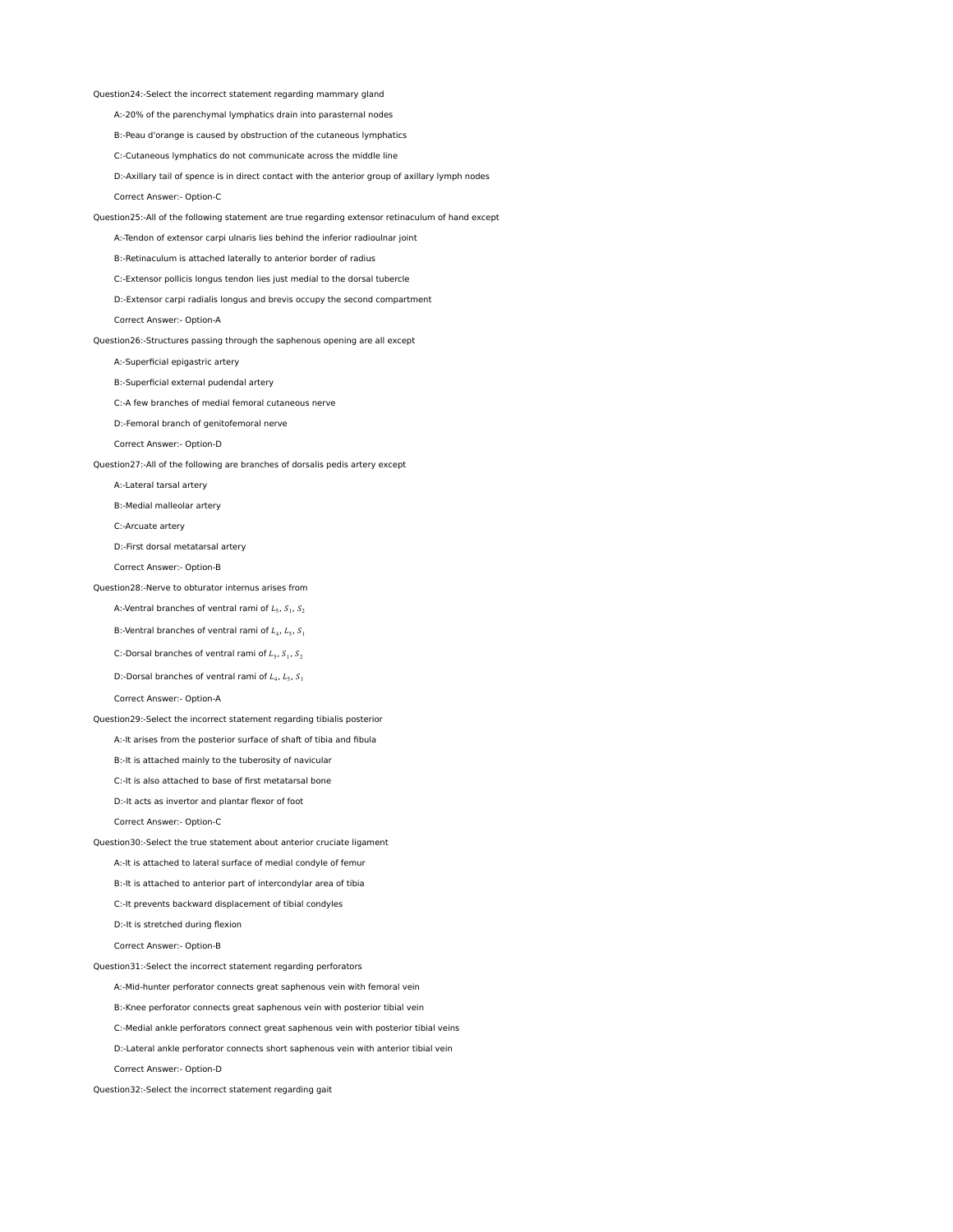Question24:-Select the incorrect statement regarding mammary gland

A:-20% of the parenchymal lymphatics drain into parasternal nodes

B:-Peau d'orange is caused by obstruction of the cutaneous lymphatics

C:-Cutaneous lymphatics do not communicate across the middle line

 D:-Axillary tail of spence is in direct contact with the anterior group of axillary lymph nodes Correct Answer:- Option-C

Question25:-All of the following statement are true regarding extensor retinaculum of hand except

A:-Tendon of extensor carpi ulnaris lies behind the inferior radioulnar joint

B:-Retinaculum is attached laterally to anterior border of radius

C:-Extensor pollicis longus tendon lies just medial to the dorsal tubercle

D:-Extensor carpi radialis longus and brevis occupy the second compartment

Correct Answer:- Option-A

Question26:-Structures passing through the saphenous opening are all except

A:-Superficial epigastric artery

B:-Superficial external pudendal artery

C:-A few branches of medial femoral cutaneous nerve

D:-Femoral branch of genitofemoral nerve

Correct Answer:- Option-D

Question27:-All of the following are branches of dorsalis pedis artery except

A:-Lateral tarsal artery

B:-Medial malleolar artery

C:-Arcuate artery

D:-First dorsal metatarsal artery

Correct Answer:- Option-B

#### Question28:-Nerve to obturator internus arises from

A:-Ventral branches of ventral rami of  $L_5$ ,  $S_1$ ,  $S_2$ 

B:-Ventral branches of ventral rami of  $I_{4}$ ,  $I_{6}$ ,  $S_{1}$ 

C:-Dorsal branches of ventral rami of  $L_5$ ,  $S_1$ ,  $S_2$ 

D:-Dorsal branches of ventral rami of  $L_4$ ,  $L_5$ ,  $S_1$ 

Correct Answer:- Option-A

Question29:-Select the incorrect statement regarding tibialis posterior

A:-It arises from the posterior surface of shaft of tibia and fibula

B:-It is attached mainly to the tuberosity of navicular

C:-It is also attached to base of first metatarsal bone

D:-It acts as invertor and plantar flexor of foot

Correct Answer:- Option-C

Question30:-Select the true statement about anterior cruciate ligament

A:-It is attached to lateral surface of medial condyle of femur

- B:-It is attached to anterior part of intercondylar area of tibia
- C:-It prevents backward displacement of tibial condyles

D:-It is stretched during flexion

Correct Answer:- Option-B

Question31:-Select the incorrect statement regarding perforators

A:-Mid-hunter perforator connects great saphenous vein with femoral vein

B:-Knee perforator connects great saphenous vein with posterior tibial vein

C:-Medial ankle perforators connect great saphenous vein with posterior tibial veins

D:-Lateral ankle perforator connects short saphenous vein with anterior tibial vein

Correct Answer:- Option-D

Question32:-Select the incorrect statement regarding gait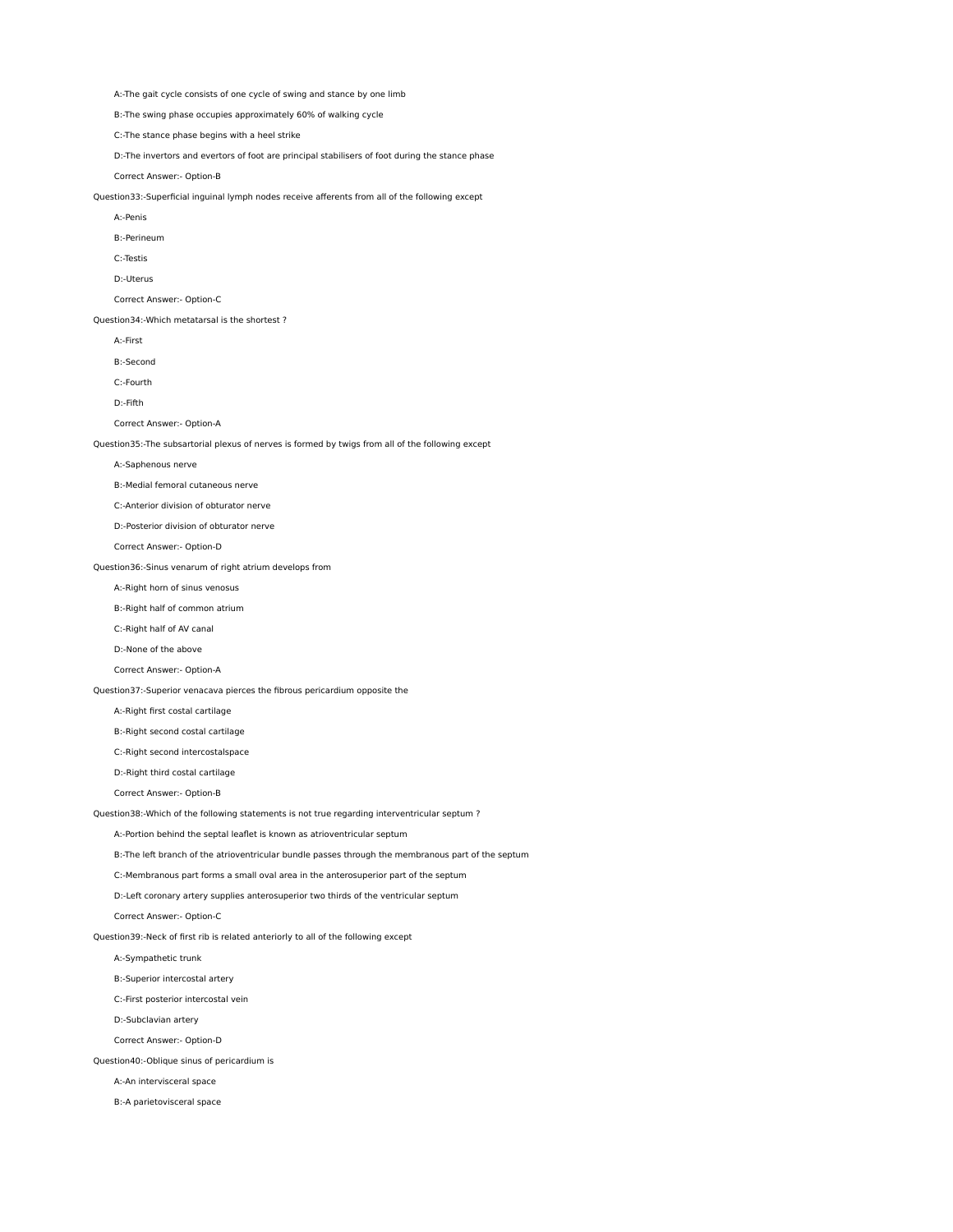A:-The gait cycle consists of one cycle of swing and stance by one limb

B:-The swing phase occupies approximately 60% of walking cycle

C:-The stance phase begins with a heel strike

D:-The invertors and evertors of foot are principal stabilisers of foot during the stance phase

Correct Answer:- Option-B

Question33:-Superficial inguinal lymph nodes receive afferents from all of the following except

- A:-Penis
- B:-Perineum

C:-Testis

D:-Uterus

Correct Answer:- Option-C

Question34:-Which metatarsal is the shortest ?

- A:-First
- B:-Second

C:-Fourth

D:-Fifth

Correct Answer:- Option-A

Question35:-The subsartorial plexus of nerves is formed by twigs from all of the following except

A:-Saphenous nerve

B:-Medial femoral cutaneous nerve

C:-Anterior division of obturator nerve

D:-Posterior division of obturator nerve

Correct Answer:- Option-D

Question36:-Sinus venarum of right atrium develops from

A:-Right horn of sinus venosus

B:-Right half of common atrium

C:-Right half of AV canal

D:-None of the above

Correct Answer:- Option-A

Question37:-Superior venacava pierces the fibrous pericardium opposite the

A:-Right first costal cartilage

B:-Right second costal cartilage

C:-Right second intercostalspace

D:-Right third costal cartilage

Correct Answer:- Option-B

Question38:-Which of the following statements is not true regarding interventricular septum ?

A:-Portion behind the septal leaflet is known as atrioventricular septum

B:-The left branch of the atrioventricular bundle passes through the membranous part of the septum

C:-Membranous part forms a small oval area in the anterosuperior part of the septum

D:-Left coronary artery supplies anterosuperior two thirds of the ventricular septum

Correct Answer:- Option-C

Question39:-Neck of first rib is related anteriorly to all of the following except

A:-Sympathetic trunk

B:-Superior intercostal artery

C:-First posterior intercostal vein

D:-Subclavian artery

Correct Answer:- Option-D

Question40:-Oblique sinus of pericardium is

A:-An intervisceral space

B:-A parietovisceral space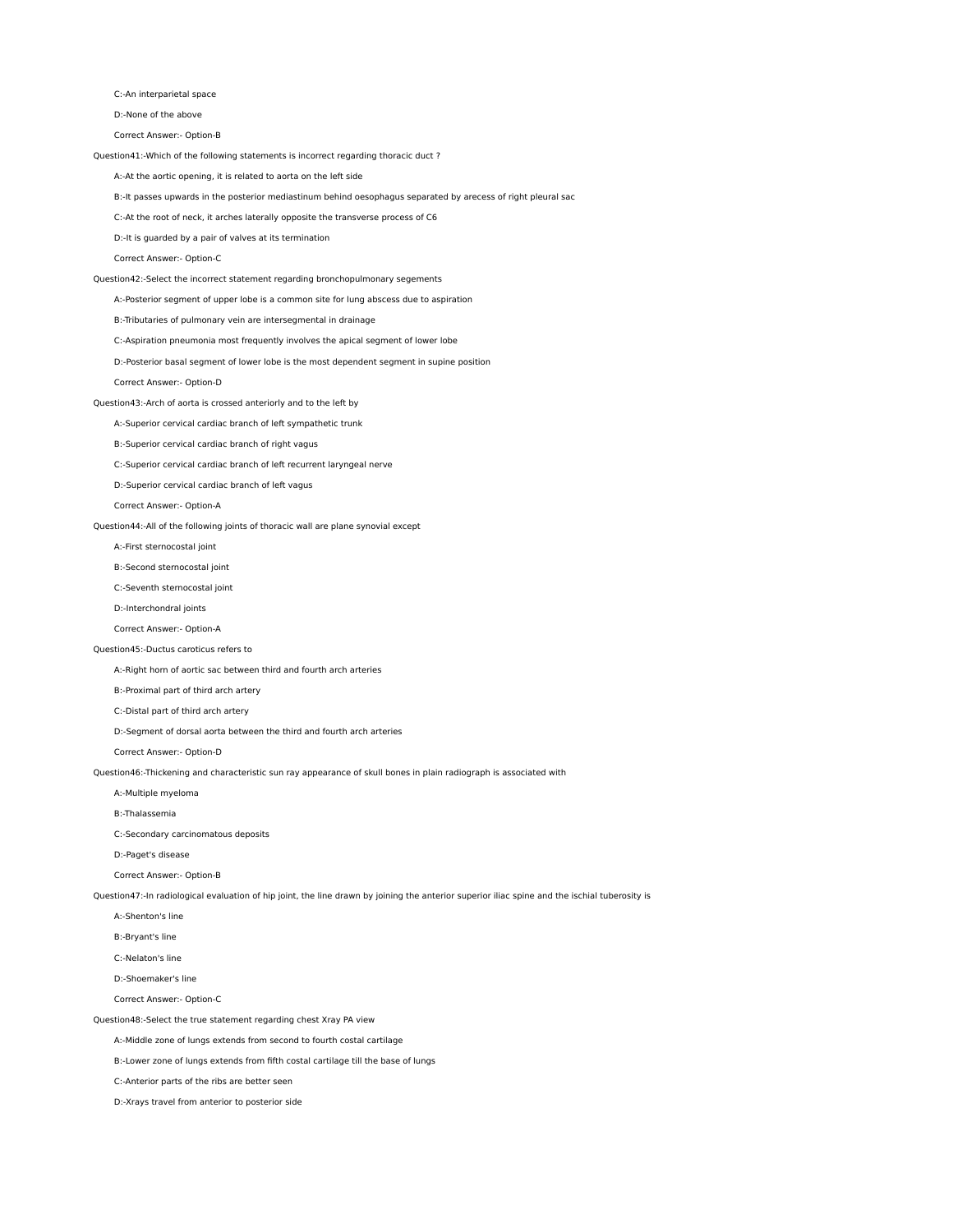C:-An interparietal space

D:-None of the above

Correct Answer:- Option-B

Question41:-Which of the following statements is incorrect regarding thoracic duct ?

A:-At the aortic opening, it is related to aorta on the left side

B:-It passes upwards in the posterior mediastinum behind oesophagus separated by arecess of right pleural sac

C:-At the root of neck, it arches laterally opposite the transverse process of C6

D:-It is guarded by a pair of valves at its termination

Correct Answer:- Option-C

## Question42:-Select the incorrect statement regarding bronchopulmonary segements

A:-Posterior segment of upper lobe is a common site for lung abscess due to aspiration

B:-Tributaries of pulmonary vein are intersegmental in drainage

C:-Aspiration pneumonia most frequently involves the apical segment of lower lobe

D:-Posterior basal segment of lower lobe is the most dependent segment in supine position

Correct Answer:- Option-D

## Question43:-Arch of aorta is crossed anteriorly and to the left by

A:-Superior cervical cardiac branch of left sympathetic trunk

B:-Superior cervical cardiac branch of right vagus

C:-Superior cervical cardiac branch of left recurrent laryngeal nerve

D:-Superior cervical cardiac branch of left vagus

Correct Answer:- Option-A

Question44:-All of the following joints of thoracic wall are plane synovial except

A:-First sternocostal joint

B:-Second sternocostal joint

C:-Seventh sternocostal joint

D:-Interchondral joints

Correct Answer:- Option-A

# Question45:-Ductus caroticus refers to

A:-Right horn of aortic sac between third and fourth arch arteries

B:-Proximal part of third arch artery

C:-Distal part of third arch artery

D:-Segment of dorsal aorta between the third and fourth arch arteries

Correct Answer:- Option-D

Question46:-Thickening and characteristic sun ray appearance of skull bones in plain radiograph is associated with

A:-Multiple myeloma

B:-Thalassemia

C:-Secondary carcinomatous deposits

D:-Paget's disease

Correct Answer:- Option-B

Question47:-In radiological evaluation of hip joint, the line drawn by joining the anterior superior iliac spine and the ischial tuberosity is

A:-Shenton's line

B:-Bryant's line

C:-Nelaton's line

D:-Shoemaker's line

Correct Answer:- Option-C

Question48:-Select the true statement regarding chest Xray PA view

A:-Middle zone of lungs extends from second to fourth costal cartilage

B:-Lower zone of lungs extends from fifth costal cartilage till the base of lungs

C:-Anterior parts of the ribs are better seen

D:-Xrays travel from anterior to posterior side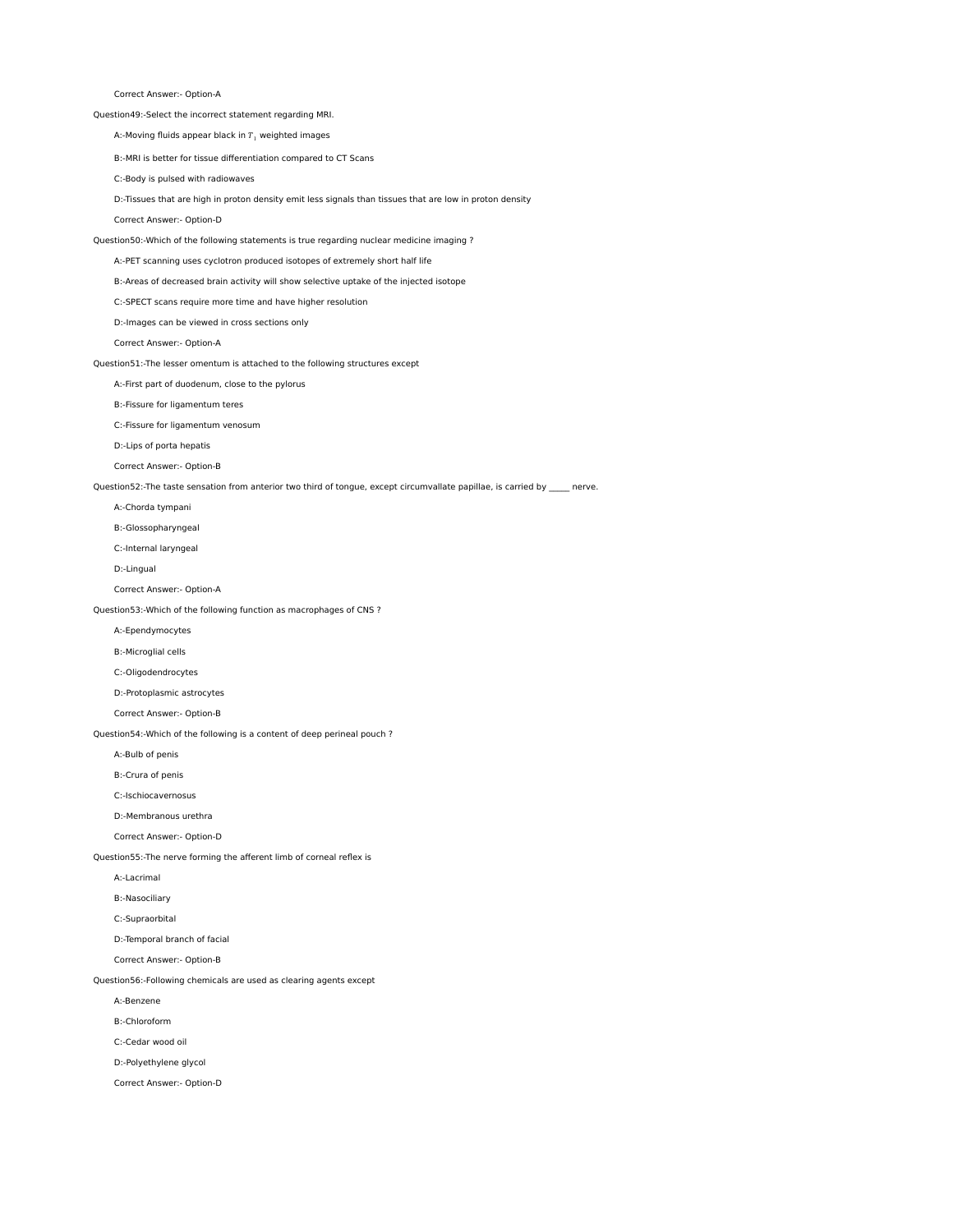Correct Answer:- Option-A

Question49:-Select the incorrect statement regarding MRI.

A:-Moving fluids appear black in  $T_1$  weighted images

B:-MRI is better for tissue differentiation compared to CT Scans

C:-Body is pulsed with radiowaves

D:-Tissues that are high in proton density emit less signals than tissues that are low in proton density

Correct Answer:- Option-D

Question50:-Which of the following statements is true regarding nuclear medicine imaging ?

A:-PET scanning uses cyclotron produced isotopes of extremely short half life

B:-Areas of decreased brain activity will show selective uptake of the injected isotope

C:-SPECT scans require more time and have higher resolution

D:-Images can be viewed in cross sections only

Correct Answer:- Option-A

Question51:-The lesser omentum is attached to the following structures except

A:-First part of duodenum, close to the pylorus

B:-Fissure for ligamentum teres

C:-Fissure for ligamentum venosum

D:-Lips of porta hepatis

Correct Answer:- Option-B

Question52:-The taste sensation from anterior two third of tongue, except circumvallate papillae, is carried by \_\_\_\_\_ nerve.

A:-Chorda tympani

B:-Glossopharyngeal

C:-Internal laryngeal

D:-Lingual

Correct Answer:- Option-A

Question53:-Which of the following function as macrophages of CNS ?

A:-Ependymocytes

B:-Microglial cells

C:-Oligodendrocytes

D:-Protoplasmic astrocytes

Correct Answer:- Option-B

Question54:-Which of the following is a content of deep perineal pouch ?

A:-Bulb of penis

B:-Crura of penis

C:-Ischiocavernosus

D:-Membranous urethra

Correct Answer:- Option-D

Question55:-The nerve forming the afferent limb of corneal reflex is

A:-Lacrimal

B:-Nasociliary

C:-Supraorbital

D:-Temporal branch of facial

Correct Answer:- Option-B

Question56:-Following chemicals are used as clearing agents except

A:-Benzene

B:-Chloroform

C:-Cedar wood oil

D:-Polyethylene glycol

Correct Answer:- Option-D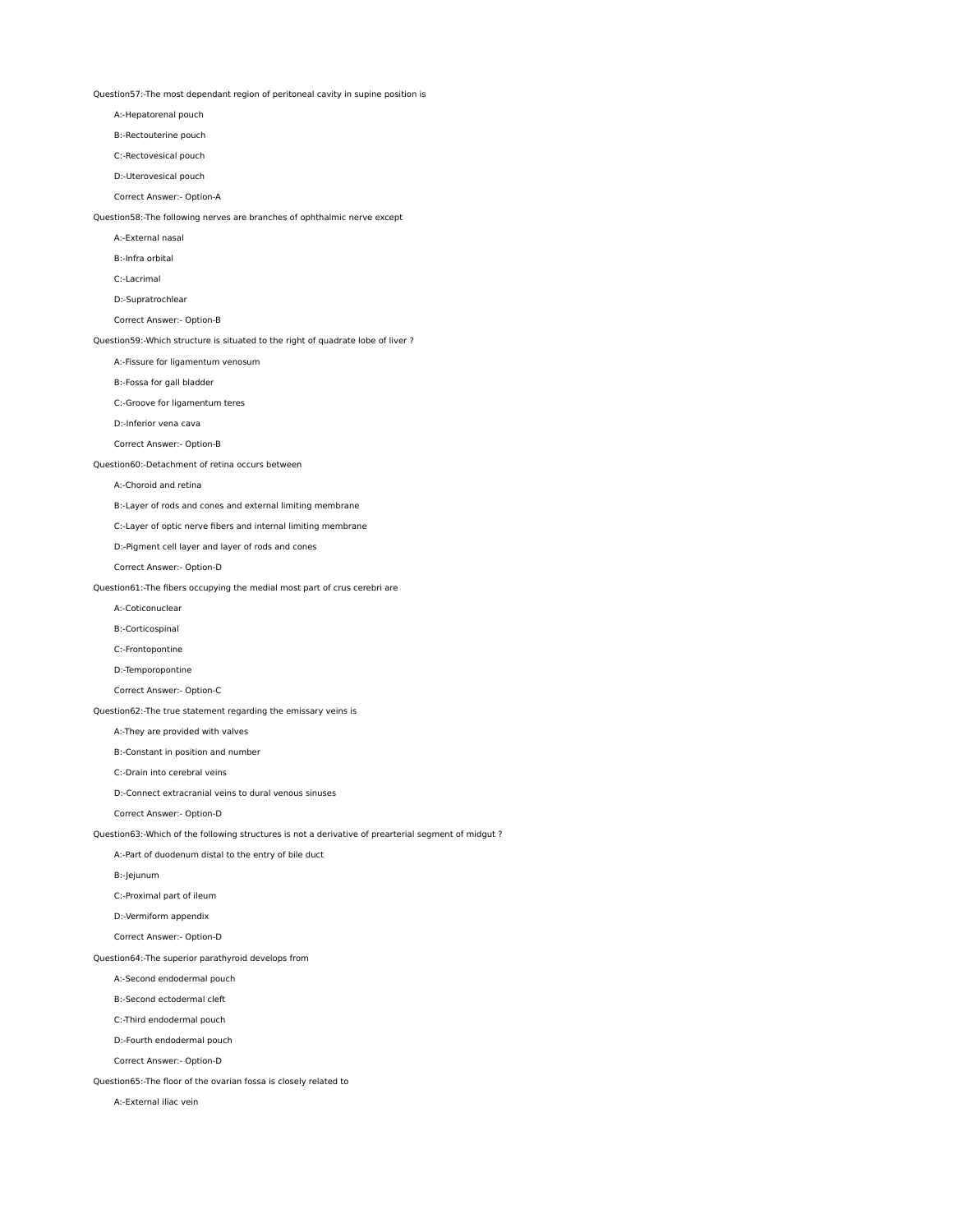Question57:-The most dependant region of peritoneal cavity in supine position is

A:-Hepatorenal pouch

B:-Rectouterine pouch

C:-Rectovesical pouch

D:-Uterovesical pouch

Correct Answer:- Option-A

Question58:-The following nerves are branches of ophthalmic nerve except

A:-External nasal

B:-Infra orbital

C:-Lacrimal

D:-Supratrochlear

Correct Answer:- Option-B

Question59:-Which structure is situated to the right of quadrate lobe of liver ?

A:-Fissure for ligamentum venosum

B:-Fossa for gall bladder

C:-Groove for ligamentum teres

D:-Inferior vena cava

Correct Answer:- Option-B

Question60:-Detachment of retina occurs between

#### A:-Choroid and retina

B:-Layer of rods and cones and external limiting membrane

C:-Layer of optic nerve fibers and internal limiting membrane

D:-Pigment cell layer and layer of rods and cones

Correct Answer:- Option-D

Question61:-The fibers occupying the medial most part of crus cerebri are

A:-Coticonuclear

B:-Corticospinal

C:-Frontopontine

D:-Temporopontine

Correct Answer:- Option-C

Question62:-The true statement regarding the emissary veins is

A:-They are provided with valves

B:-Constant in position and number

C:-Drain into cerebral veins

D:-Connect extracranial veins to dural venous sinuses

Correct Answer:- Option-D

Question63:-Which of the following structures is not a derivative of prearterial segment of midgut ?

A:-Part of duodenum distal to the entry of bile duct

B:-Jejunum

C:-Proximal part of ileum

D:-Vermiform appendix

Correct Answer:- Option-D

Question64:-The superior parathyroid develops from

A:-Second endodermal pouch

B:-Second ectodermal cleft

C:-Third endodermal pouch

D:-Fourth endodermal pouch

Correct Answer:- Option-D

Question65:-The floor of the ovarian fossa is closely related to

A:-External iliac vein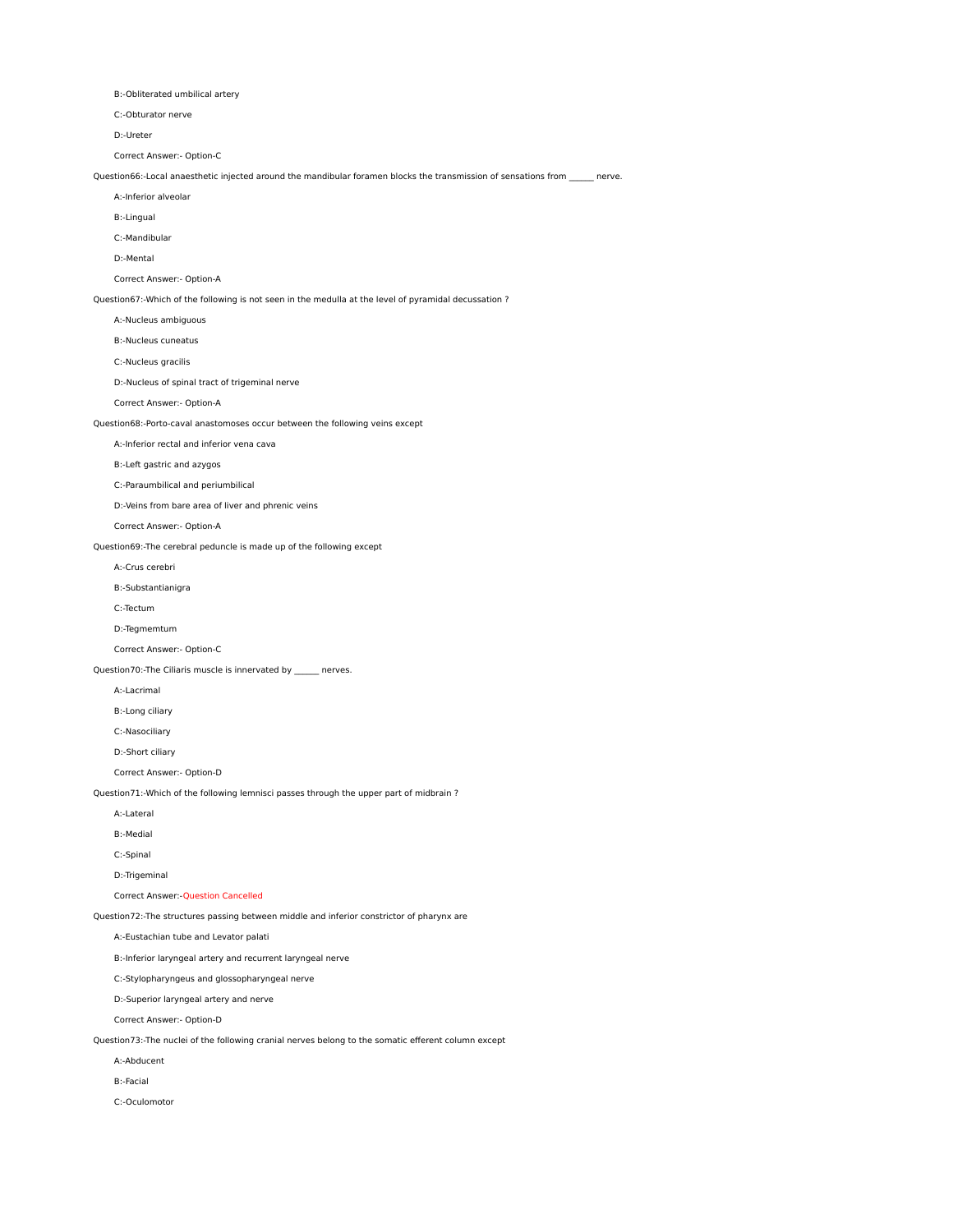B:-Obliterated umbilical artery

C:-Obturator nerve

D:-Ureter

Correct Answer:- Option-C

Question66:-Local anaesthetic injected around the mandibular foramen blocks the transmission of sensations from \_\_\_\_\_\_ nerve.

A:-Inferior alveolar

B:-Lingual

C:-Mandibular

D:-Mental

Correct Answer:- Option-A

Question67:-Which of the following is not seen in the medulla at the level of pyramidal decussation ?

A:-Nucleus ambiguous

B:-Nucleus cuneatus

C:-Nucleus gracilis

D:-Nucleus of spinal tract of trigeminal nerve

Correct Answer:- Option-A

Question68:-Porto-caval anastomoses occur between the following veins except

A:-Inferior rectal and inferior vena cava

B:-Left gastric and azygos

C:-Paraumbilical and periumbilical

D:-Veins from bare area of liver and phrenic veins

Correct Answer:- Option-A

Question69:-The cerebral peduncle is made up of the following except

A:-Crus cerebri

B:-Substantianigra

C:-Tectum

D:-Tegmemtum

Correct Answer:- Option-C

Question70:-The Ciliaris muscle is innervated by \_\_\_\_\_\_ nerves.

A:-Lacrimal

B:-Long ciliary

C:-Nasociliary

D:-Short ciliary

Correct Answer:- Option-D

Question71:-Which of the following lemnisci passes through the upper part of midbrain ?

A:-Lateral

B:-Medial

C:-Spinal

D:-Trigeminal

Correct Answer:-Question Cancelled

Question72:-The structures passing between middle and inferior constrictor of pharynx are

A:-Eustachian tube and Levator palati

B:-Inferior laryngeal artery and recurrent laryngeal nerve

C:-Stylopharyngeus and glossopharyngeal nerve

D:-Superior laryngeal artery and nerve

Correct Answer:- Option-D

Question73:-The nuclei of the following cranial nerves belong to the somatic efferent column except

A:-Abducent

B:-Facial

C:-Oculomotor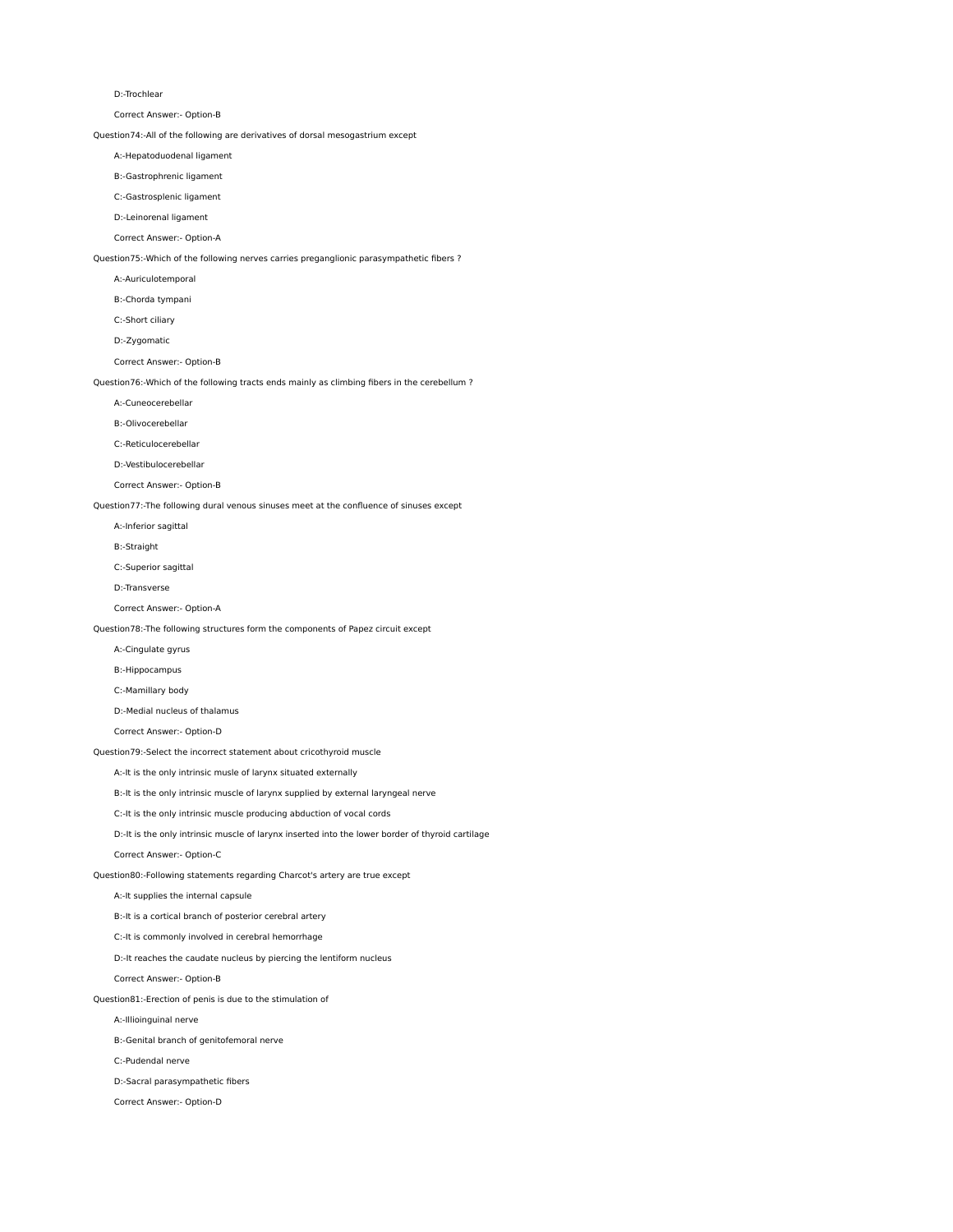#### D:-Trochlear

Correct Answer:- Option-B

Question74:-All of the following are derivatives of dorsal mesogastrium except

A:-Hepatoduodenal ligament

B:-Gastrophrenic ligament

C:-Gastrosplenic ligament

D:-Leinorenal ligament

Correct Answer:- Option-A

Question75:-Which of the following nerves carries preganglionic parasympathetic fibers ?

A:-Auriculotemporal

B:-Chorda tympani

C:-Short ciliary

D:-Zygomatic

Correct Answer:- Option-B

Question76:-Which of the following tracts ends mainly as climbing fibers in the cerebellum ?

A:-Cuneocerebellar

B:-Olivocerebellar

C:-Reticulocerebellar

D:-Vestibulocerebellar

Correct Answer:- Option-B

Question77:-The following dural venous sinuses meet at the confluence of sinuses except

A:-Inferior sagittal

B:-Straight

C:-Superior sagittal

D:-Transverse

Correct Answer:- Option-A

Question78:-The following structures form the components of Papez circuit except

A:-Cingulate gyrus

B:-Hippocampus

C:-Mamillary body

D:-Medial nucleus of thalamus

Correct Answer:- Option-D

Question79:-Select the incorrect statement about cricothyroid muscle

A:-It is the only intrinsic musle of larynx situated externally

B:-It is the only intrinsic muscle of larynx supplied by external laryngeal nerve

C:-It is the only intrinsic muscle producing abduction of vocal cords

D:-It is the only intrinsic muscle of larynx inserted into the lower border of thyroid cartilage

Correct Answer:- Option-C

Question80:-Following statements regarding Charcot's artery are true except

A:-It supplies the internal capsule

B:-It is a cortical branch of posterior cerebral artery

C:-It is commonly involved in cerebral hemorrhage

D:-It reaches the caudate nucleus by piercing the lentiform nucleus

Correct Answer:- Option-B

Question81:-Erection of penis is due to the stimulation of

A:-Illioinguinal nerve

B:-Genital branch of genitofemoral nerve

C:-Pudendal nerve

D:-Sacral parasympathetic fibers

Correct Answer:- Option-D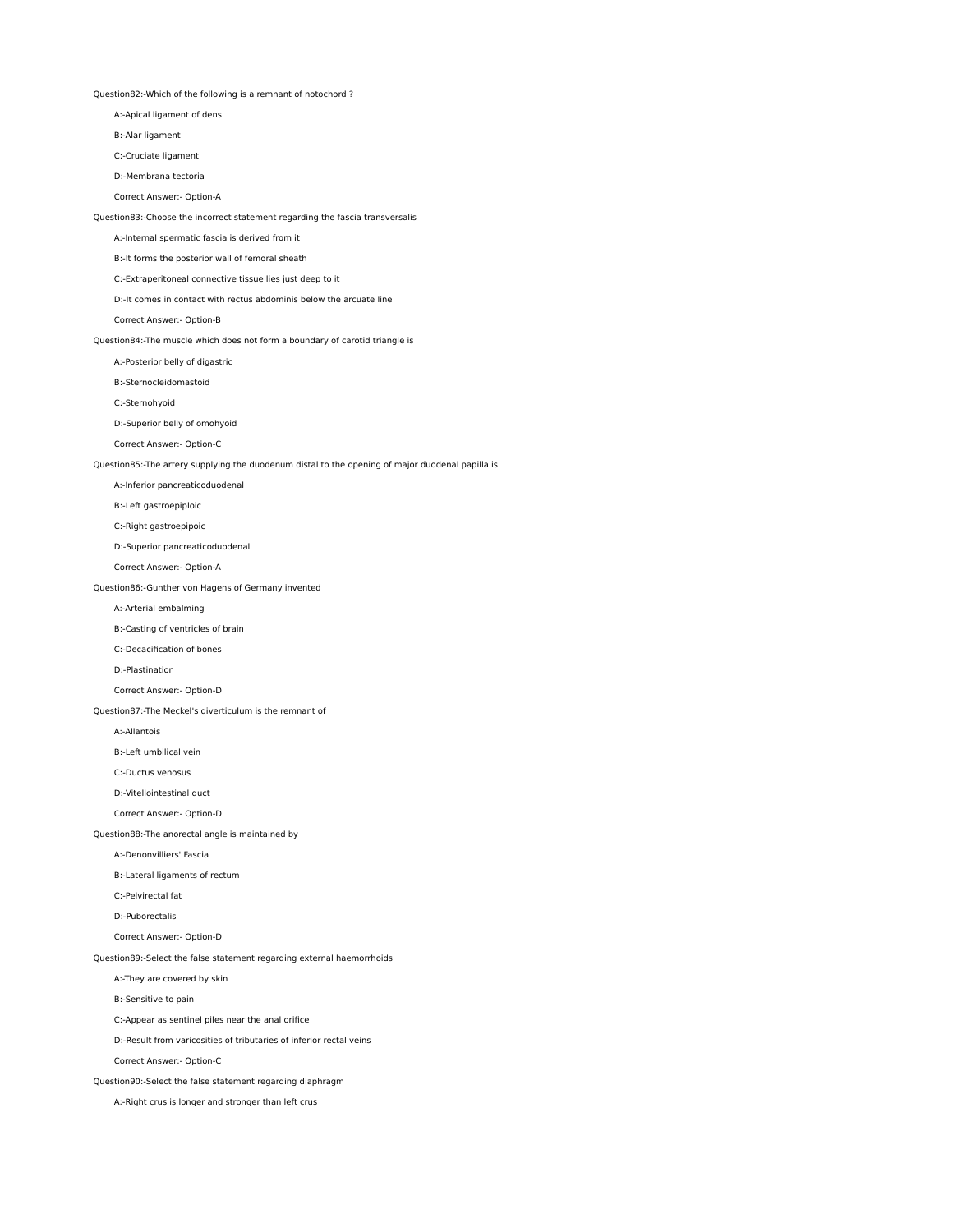Question82:-Which of the following is a remnant of notochord ?

A:-Apical ligament of dens

B:-Alar ligament

C:-Cruciate ligament

D:-Membrana tectoria

Correct Answer:- Option-A

Question83:-Choose the incorrect statement regarding the fascia transversalis

A:-Internal spermatic fascia is derived from it

B:-It forms the posterior wall of femoral sheath

C:-Extraperitoneal connective tissue lies just deep to it

D:-It comes in contact with rectus abdominis below the arcuate line

Correct Answer:- Option-B

Question84:-The muscle which does not form a boundary of carotid triangle is

A:-Posterior belly of digastric

B:-Sternocleidomastoid

C:-Sternohyoid

D:-Superior belly of omohyoid

Correct Answer:- Option-C

Question85:-The artery supplying the duodenum distal to the opening of major duodenal papilla is

A:-Inferior pancreaticoduodenal

B:-Left gastroepiploic

C:-Right gastroepipoic

D:-Superior pancreaticoduodenal

Correct Answer:- Option-A

Question86:-Gunther von Hagens of Germany invented

A:-Arterial embalming

B:-Casting of ventricles of brain

C:-Decacification of bones

D:-Plastination

Correct Answer:- Option-D

Question87:-The Meckel's diverticulum is the remnant of

A:-Allantois

B:-Left umbilical vein

C:-Ductus venosus

D:-Vitellointestinal duct

Correct Answer:- Option-D

Question88:-The anorectal angle is maintained by

A:-Denonvilliers' Fascia

B:-Lateral ligaments of rectum

C:-Pelvirectal fat

D:-Puborectalis

Correct Answer:- Option-D

Question89:-Select the false statement regarding external haemorrhoids

A:-They are covered by skin

B:-Sensitive to pain

C:-Appear as sentinel piles near the anal orifice

D:-Result from varicosities of tributaries of inferior rectal veins

Correct Answer:- Option-C

Question90:-Select the false statement regarding diaphragm

A:-Right crus is longer and stronger than left crus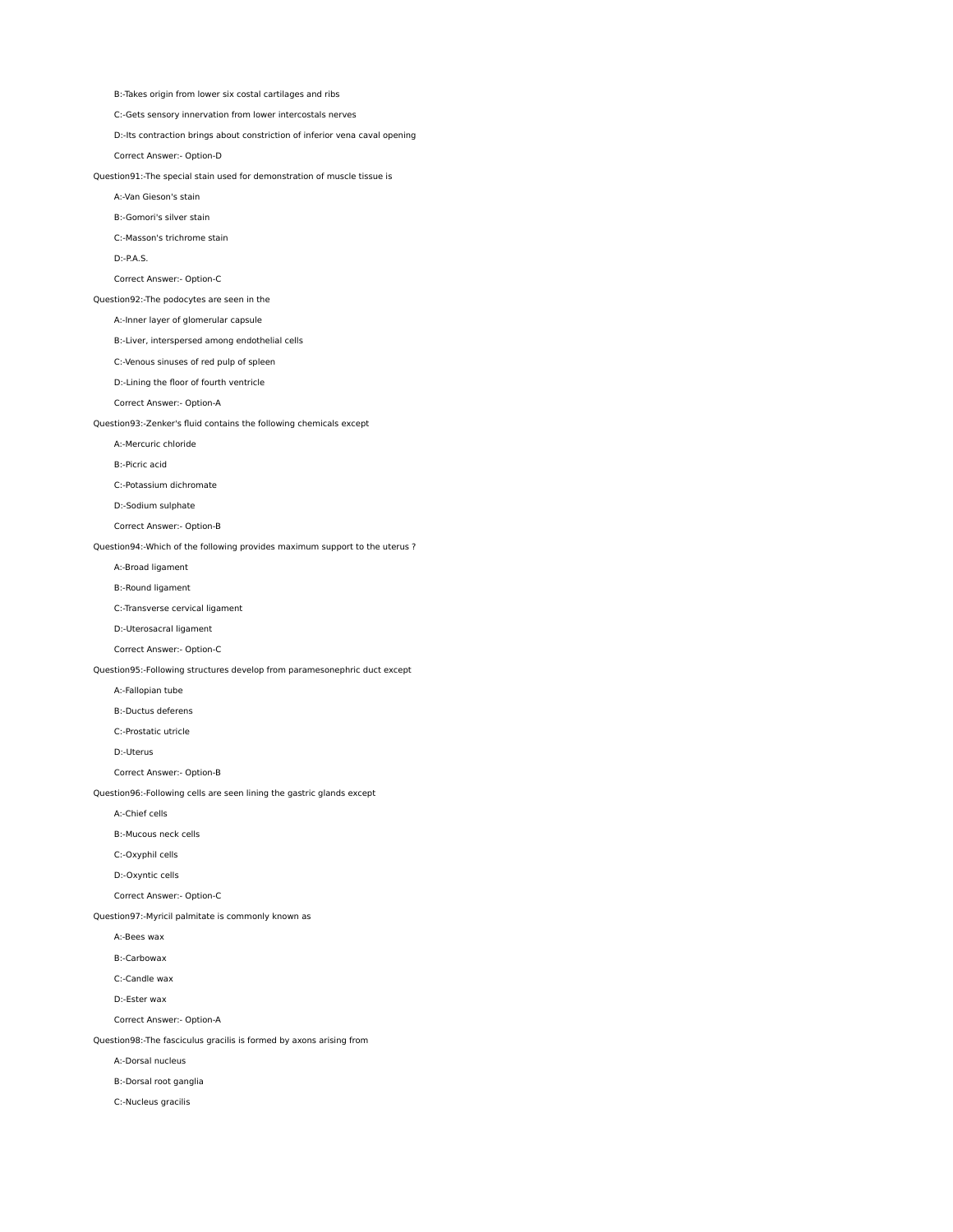C:-Gets sensory innervation from lower intercostals nerves D:-Its contraction brings about constriction of inferior vena caval opening Correct Answer:- Option-D Question91:-The special stain used for demonstration of muscle tissue is A:-Van Gieson's stain B:-Gomori's silver stain C:-Masson's trichrome stain D:-P.A.S. Correct Answer:- Option-C Question92:-The podocytes are seen in the A:-Inner layer of glomerular capsule B:-Liver, interspersed among endothelial cells C:-Venous sinuses of red pulp of spleen D:-Lining the floor of fourth ventricle Correct Answer:- Option-A Question93:-Zenker's fluid contains the following chemicals except A:-Mercuric chloride B:-Picric acid C:-Potassium dichromate D:-Sodium sulphate Correct Answer:- Option-B Question94:-Which of the following provides maximum support to the uterus ? A:-Broad ligament B:-Round ligament C:-Transverse cervical ligament D:-Uterosacral ligament Correct Answer:- Option-C Question95:-Following structures develop from paramesonephric duct except A:-Fallopian tube B:-Ductus deferens C:-Prostatic utricle D:-Uterus Correct Answer:- Option-B Question96:-Following cells are seen lining the gastric glands except A:-Chief cells B:-Mucous neck cells C:-Oxyphil cells D:-Oxyntic cells Correct Answer:- Option-C Question97:-Myricil palmitate is commonly known as A:-Bees wax B:-Carbowax C:-Candle wax D:-Ester wax Correct Answer:- Option-A Question98:-The fasciculus gracilis is formed by axons arising from A:-Dorsal nucleus B:-Dorsal root ganglia C:-Nucleus gracilis

B:-Takes origin from lower six costal cartilages and ribs